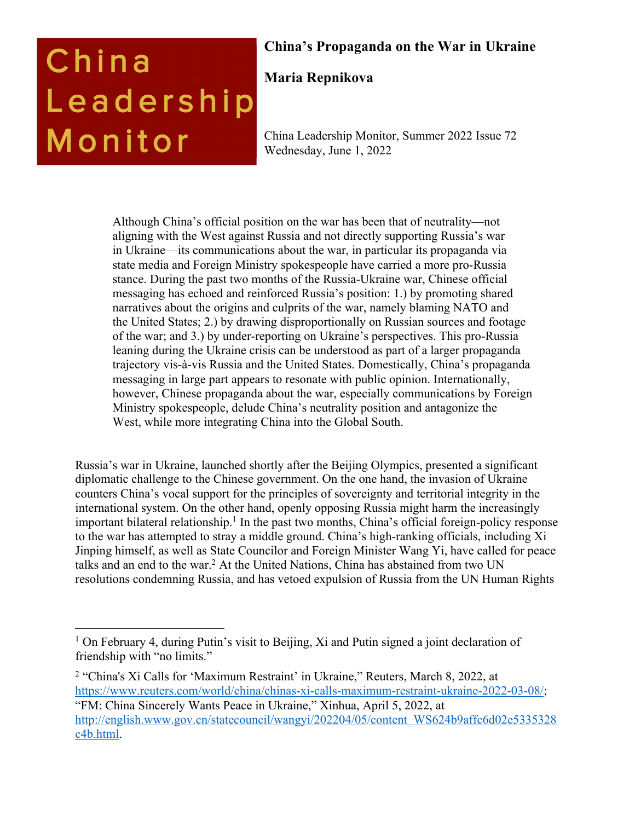# China Leadership Monitor

# **China's Propaganda on the War in Ukraine**

# **Maria Repnikova**

China Leadership Monitor, Summer 2022 Issue 72 Wednesday, June 1, 2022

Although China's official position on the war has been that of neutrality—not aligning with the West against Russia and not directly supporting Russia's war in Ukraine—its communications about the war, in particular its propaganda via state media and Foreign Ministry spokespeople have carried a more pro-Russia stance. During the past two months of the Russia-Ukraine war, Chinese official messaging has echoed and reinforced Russia's position: 1.) by promoting shared narratives about the origins and culprits of the war, namely blaming NATO and the United States; 2.) by drawing disproportionally on Russian sources and footage of the war; and 3.) by under-reporting on Ukraine's perspectives. This pro-Russia leaning during the Ukraine crisis can be understood as part of a larger propaganda trajectory vis-à-vis Russia and the United States. Domestically, China's propaganda messaging in large part appears to resonate with public opinion. Internationally, however, Chinese propaganda about the war, especially communications by Foreign Ministry spokespeople, delude China's neutrality position and antagonize the West, while more integrating China into the Global South.

Russia's war in Ukraine, launched shortly after the Beijing Olympics, presented a significant diplomatic challenge to the Chinese government. On the one hand, the invasion of Ukraine counters China's vocal support for the principles of sovereignty and territorial integrity in the international system. On the other hand, openly opposing Russia might harm the increasingly important bilateral relationship.<sup>1</sup> In the past two months, China's official foreign-policy response to the war has attempted to stray a middle ground. China's high-ranking officials, including Xi Jinping himself, as well as State Councilor and Foreign Minister Wang Yi, have called for peace talks and an end to the war.<sup>2</sup> At the United Nations, China has abstained from two UN resolutions condemning Russia, and has vetoed expulsion of Russia from the UN Human Rights

<sup>&</sup>lt;sup>1</sup> On February 4, during Putin's visit to Beijing, Xi and Putin signed a joint declaration of friendship with "no limits."

<sup>2</sup> "China's Xi Calls for 'Maximum Restraint' in Ukraine," Reuters, March 8, 2022, at https://www.reuters.com/world/china/chinas-xi-calls-maximum-restraint-ukraine-2022-03-08/; "FM: China Sincerely Wants Peace in Ukraine," Xinhua, April 5, 2022, at http://english.www.gov.cn/statecouncil/wangyi/202204/05/content\_WS624b9affc6d02e5335328 c4b.html.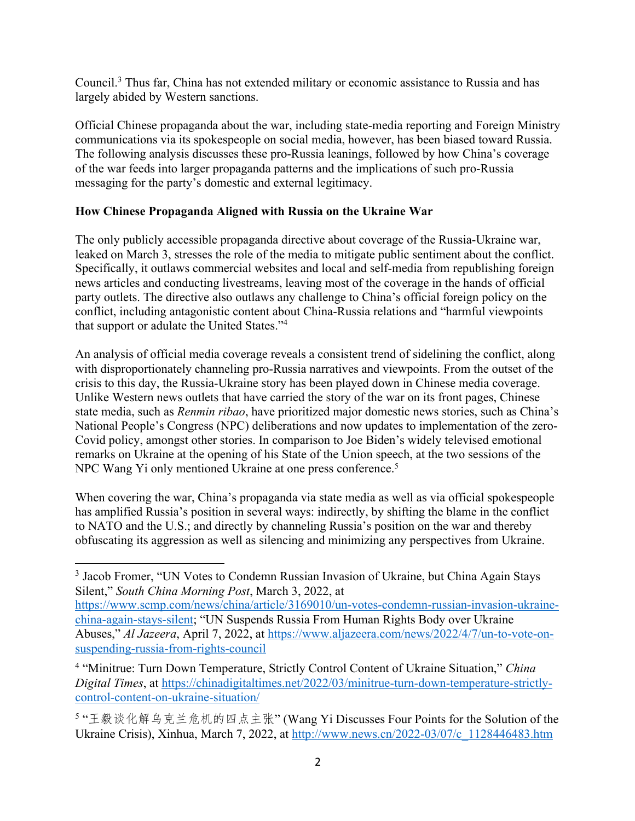Council.3 Thus far, China has not extended military or economic assistance to Russia and has largely abided by Western sanctions.

Official Chinese propaganda about the war, including state-media reporting and Foreign Ministry communications via its spokespeople on social media, however, has been biased toward Russia. The following analysis discusses these pro-Russia leanings, followed by how China's coverage of the war feeds into larger propaganda patterns and the implications of such pro-Russia messaging for the party's domestic and external legitimacy.

#### **How Chinese Propaganda Aligned with Russia on the Ukraine War**

The only publicly accessible propaganda directive about coverage of the Russia-Ukraine war, leaked on March 3, stresses the role of the media to mitigate public sentiment about the conflict. Specifically, it outlaws commercial websites and local and self-media from republishing foreign news articles and conducting livestreams, leaving most of the coverage in the hands of official party outlets. The directive also outlaws any challenge to China's official foreign policy on the conflict, including antagonistic content about China-Russia relations and "harmful viewpoints that support or adulate the United States."4

An analysis of official media coverage reveals a consistent trend of sidelining the conflict, along with disproportionately channeling pro-Russia narratives and viewpoints. From the outset of the crisis to this day, the Russia-Ukraine story has been played down in Chinese media coverage. Unlike Western news outlets that have carried the story of the war on its front pages, Chinese state media, such as *Renmin ribao*, have prioritized major domestic news stories, such as China's National People's Congress (NPC) deliberations and now updates to implementation of the zero-Covid policy, amongst other stories. In comparison to Joe Biden's widely televised emotional remarks on Ukraine at the opening of his State of the Union speech, at the two sessions of the NPC Wang Yi only mentioned Ukraine at one press conference.<sup>5</sup>

When covering the war, China's propaganda via state media as well as via official spokespeople has amplified Russia's position in several ways: indirectly, by shifting the blame in the conflict to NATO and the U.S.; and directly by channeling Russia's position on the war and thereby obfuscating its aggression as well as silencing and minimizing any perspectives from Ukraine.

<sup>3</sup> Jacob Fromer, "UN Votes to Condemn Russian Invasion of Ukraine, but China Again Stays Silent," *South China Morning Post*, March 3, 2022, at

https://www.scmp.com/news/china/article/3169010/un-votes-condemn-russian-invasion-ukrainechina-again-stays-silent; "UN Suspends Russia From Human Rights Body over Ukraine Abuses," *Al Jazeera*, April 7, 2022, at https://www.aljazeera.com/news/2022/4/7/un-to-vote-onsuspending-russia-from-rights-council

<sup>4</sup> "Minitrue: Turn Down Temperature, Strictly Control Content of Ukraine Situation," *China Digital Times*, at https://chinadigitaltimes.net/2022/03/minitrue-turn-down-temperature-strictlycontrol-content-on-ukraine-situation/

<sup>5 &</sup>quot;王毅谈化解乌克兰危机的四点主张" (Wang Yi Discusses Four Points for the Solution of the Ukraine Crisis), Xinhua, March 7, 2022, at http://www.news.cn/2022-03/07/c\_1128446483.htm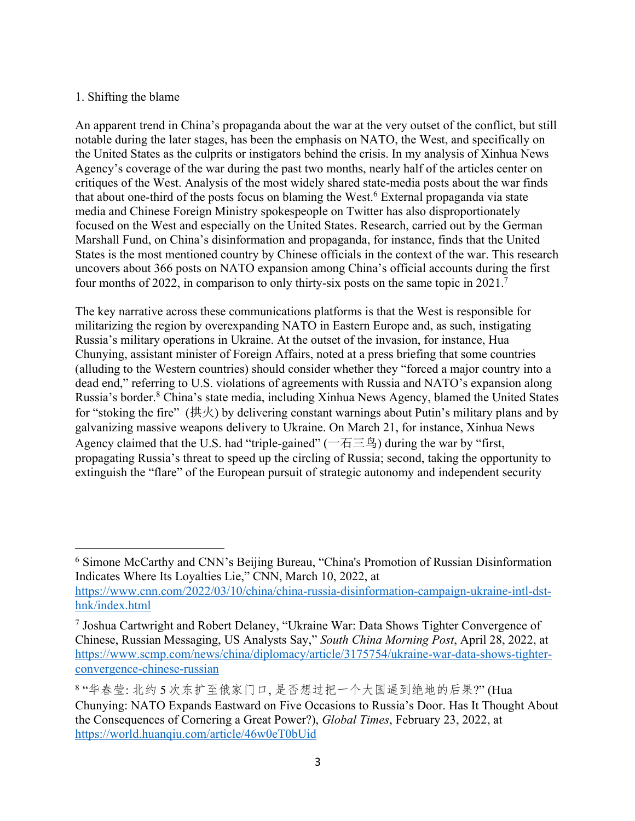#### 1. Shifting the blame

An apparent trend in China's propaganda about the war at the very outset of the conflict, but still notable during the later stages, has been the emphasis on NATO, the West, and specifically on the United States as the culprits or instigators behind the crisis. In my analysis of Xinhua News Agency's coverage of the war during the past two months, nearly half of the articles center on critiques of the West. Analysis of the most widely shared state-media posts about the war finds that about one-third of the posts focus on blaming the West.<sup>6</sup> External propaganda via state media and Chinese Foreign Ministry spokespeople on Twitter has also disproportionately focused on the West and especially on the United States. Research, carried out by the German Marshall Fund, on China's disinformation and propaganda, for instance, finds that the United States is the most mentioned country by Chinese officials in the context of the war. This research uncovers about 366 posts on NATO expansion among China's official accounts during the first four months of 2022, in comparison to only thirty-six posts on the same topic in 2021.7

The key narrative across these communications platforms is that the West is responsible for militarizing the region by overexpanding NATO in Eastern Europe and, as such, instigating Russia's military operations in Ukraine. At the outset of the invasion, for instance, Hua Chunying, assistant minister of Foreign Affairs, noted at a press briefing that some countries (alluding to the Western countries) should consider whether they "forced a major country into a dead end," referring to U.S. violations of agreements with Russia and NATO's expansion along Russia's border.<sup>8</sup> China's state media, including Xinhua News Agency, blamed the United States for "stoking the fire" (拱火) by delivering constant warnings about Putin's military plans and by galvanizing massive weapons delivery to Ukraine. On March 21, for instance, Xinhua News Agency claimed that the U.S. had "triple-gained" ( $-\overline{A} \equiv \mathfrak{H}$ ) during the war by "first, propagating Russia's threat to speed up the circling of Russia; second, taking the opportunity to extinguish the "flare" of the European pursuit of strategic autonomy and independent security

<sup>6</sup> Simone McCarthy and CNN's Beijing Bureau, "China's Promotion of Russian Disinformation Indicates Where Its Loyalties Lie," CNN, March 10, 2022, at https://www.cnn.com/2022/03/10/china/china-russia-disinformation-campaign-ukraine-intl-dsthnk/index.html

<sup>7</sup> Joshua Cartwright and Robert Delaney, "Ukraine War: Data Shows Tighter Convergence of Chinese, Russian Messaging, US Analysts Say," *South China Morning Post*, April 28, 2022, at https://www.scmp.com/news/china/diplomacy/article/3175754/ukraine-war-data-shows-tighterconvergence-chinese-russian

<sup>8&</sup>quot;华春莹: 北约5次东扩至俄家门口, 是否想过把一个大国逼到绝地的后果?"(Hua Chunying: NATO Expands Eastward on Five Occasions to Russia's Door. Has It Thought About the Consequences of Cornering a Great Power?), *Global Times*, February 23, 2022, at https://world.huanqiu.com/article/46w0eT0bUid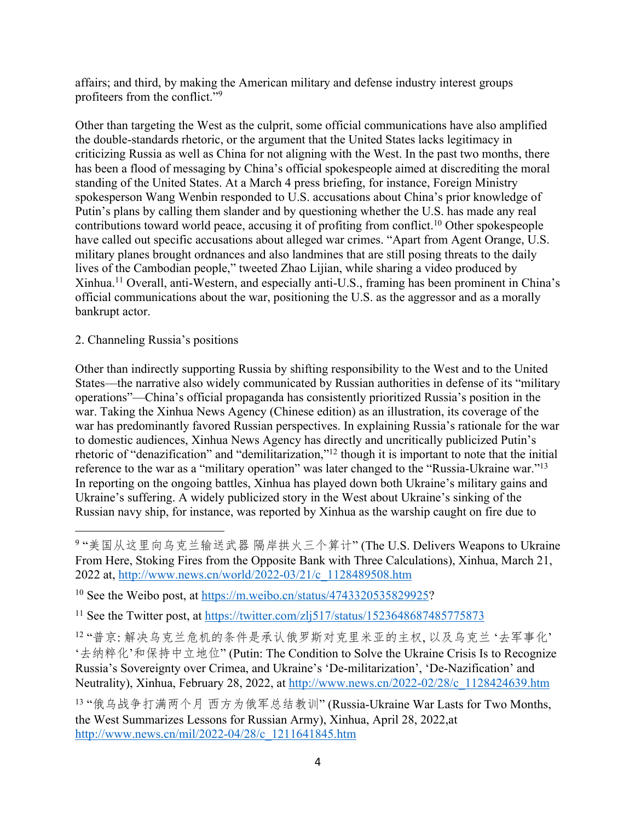affairs; and third, by making the American military and defense industry interest groups profiteers from the conflict."9

Other than targeting the West as the culprit, some official communications have also amplified the double-standards rhetoric, or the argument that the United States lacks legitimacy in criticizing Russia as well as China for not aligning with the West. In the past two months, there has been a flood of messaging by China's official spokespeople aimed at discrediting the moral standing of the United States. At a March 4 press briefing, for instance, Foreign Ministry spokesperson Wang Wenbin responded to U.S. accusations about China's prior knowledge of Putin's plans by calling them slander and by questioning whether the U.S. has made any real contributions toward world peace, accusing it of profiting from conflict.<sup>10</sup> Other spokespeople have called out specific accusations about alleged war crimes. "Apart from Agent Orange, U.S. military planes brought ordnances and also landmines that are still posing threats to the daily lives of the Cambodian people," tweeted Zhao Lijian, while sharing a video produced by Xinhua.11 Overall, anti-Western, and especially anti-U.S., framing has been prominent in China's official communications about the war, positioning the U.S. as the aggressor and as a morally bankrupt actor.

#### 2. Channeling Russia's positions

Other than indirectly supporting Russia by shifting responsibility to the West and to the United States—the narrative also widely communicated by Russian authorities in defense of its "military operations"—China's official propaganda has consistently prioritized Russia's position in the war. Taking the Xinhua News Agency (Chinese edition) as an illustration, its coverage of the war has predominantly favored Russian perspectives. In explaining Russia's rationale for the war to domestic audiences, Xinhua News Agency has directly and uncritically publicized Putin's rhetoric of "denazification" and "demilitarization,"12 though it is important to note that the initial reference to the war as a "military operation" was later changed to the "Russia-Ukraine war."13 In reporting on the ongoing battles, Xinhua has played down both Ukraine's military gains and Ukraine's suffering. A widely publicized story in the West about Ukraine's sinking of the Russian navy ship, for instance, was reported by Xinhua as the warship caught on fire due to

9"美国从这里向乌克兰输送武器 隔岸拱火三个算计"(The U.S. Delivers Weapons to Ukraine From Here, Stoking Fires from the Opposite Bank with Three Calculations), Xinhua, March 21, 2022 at, http://www.news.cn/world/2022-03/21/c\_1128489508.htm

<sup>10</sup> See the Weibo post, at https://m.weibo.cn/status/4743320535829925?

<sup>11</sup> See the Twitter post, at https://twitter.com/zlj517/status/1523648687485775873

12 "普京: 解决乌克兰危机的条件是承认俄罗斯对克里米亚的主权, 以及乌克兰 '去军事化' '去纳粹化'和保持中立地位" (Putin: The Condition to Solve the Ukraine Crisis Is to Recognize Russia's Sovereignty over Crimea, and Ukraine's 'De-militarization', 'De-Nazification' and Neutrality), Xinhua, February 28, 2022, at http://www.news.cn/2022-02/28/c\_1128424639.htm

13 "俄乌战争打满两个月 西方为俄军总结教训" (Russia-Ukraine War Lasts for Two Months, the West Summarizes Lessons for Russian Army), Xinhua, April 28, 2022,at http://www.news.cn/mil/2022-04/28/c\_1211641845.htm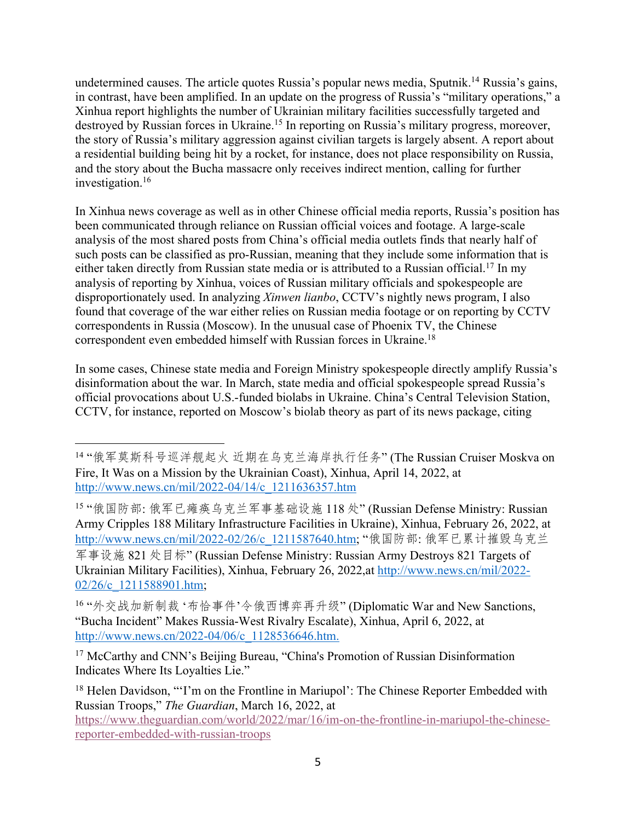undetermined causes. The article quotes Russia's popular news media, Sputnik.<sup>14</sup> Russia's gains, in contrast, have been amplified. In an update on the progress of Russia's "military operations," a Xinhua report highlights the number of Ukrainian military facilities successfully targeted and destroyed by Russian forces in Ukraine.<sup>15</sup> In reporting on Russia's military progress, moreover, the story of Russia's military aggression against civilian targets is largely absent. A report about a residential building being hit by a rocket, for instance, does not place responsibility on Russia, and the story about the Bucha massacre only receives indirect mention, calling for further investigation. 16

In Xinhua news coverage as well as in other Chinese official media reports, Russia's position has been communicated through reliance on Russian official voices and footage. A large-scale analysis of the most shared posts from China's official media outlets finds that nearly half of such posts can be classified as pro-Russian, meaning that they include some information that is either taken directly from Russian state media or is attributed to a Russian official.<sup>17</sup> In my analysis of reporting by Xinhua, voices of Russian military officials and spokespeople are disproportionately used. In analyzing *Xinwen lianbo*, CCTV's nightly news program, I also found that coverage of the war either relies on Russian media footage or on reporting by CCTV correspondents in Russia (Moscow). In the unusual case of Phoenix TV, the Chinese correspondent even embedded himself with Russian forces in Ukraine.18

In some cases, Chinese state media and Foreign Ministry spokespeople directly amplify Russia's disinformation about the war. In March, state media and official spokespeople spread Russia's official provocations about U.S.-funded biolabs in Ukraine. China's Central Television Station, CCTV, for instance, reported on Moscow's biolab theory as part of its news package, citing

<sup>14 &</sup>quot;俄军莫斯科号巡洋舰起火 近期在乌克兰海岸执行任务" (The Russian Cruiser Moskva on Fire, It Was on a Mission by the Ukrainian Coast), Xinhua, April 14, 2022, at http://www.news.cn/mil/2022-04/14/c\_1211636357.htm

<sup>15 &</sup>quot;俄国防部: 俄军已瘫痪乌克兰军事基础设施 118 处" (Russian Defense Ministry: Russian Army Cripples 188 Military Infrastructure Facilities in Ukraine), Xinhua, February 26, 2022, at http://www.news.cn/mil/2022-02/26/c\_1211587640.htm; "俄国防部: 俄军已累计摧毁乌克兰 军事设施 821 处目标" (Russian Defense Ministry: Russian Army Destroys 821 Targets of Ukrainian Military Facilities), Xinhua, February 26, 2022,at http://www.news.cn/mil/2022- 02/26/c 1211588901.htm;

<sup>16 &</sup>quot;外交战加新制裁'布恰事件'令俄西博弈再升级" (Diplomatic War and New Sanctions, "Bucha Incident" Makes Russia-West Rivalry Escalate), Xinhua, April 6, 2022, at http://www.news.cn/2022-04/06/c\_1128536646.htm.

<sup>&</sup>lt;sup>17</sup> McCarthy and CNN's Beijing Bureau, "China's Promotion of Russian Disinformation Indicates Where Its Loyalties Lie."

<sup>&</sup>lt;sup>18</sup> Helen Davidson, "'I'm on the Frontline in Mariupol': The Chinese Reporter Embedded with Russian Troops," *The Guardian*, March 16, 2022, at

https://www.theguardian.com/world/2022/mar/16/im-on-the-frontline-in-mariupol-the-chinesereporter-embedded-with-russian-troops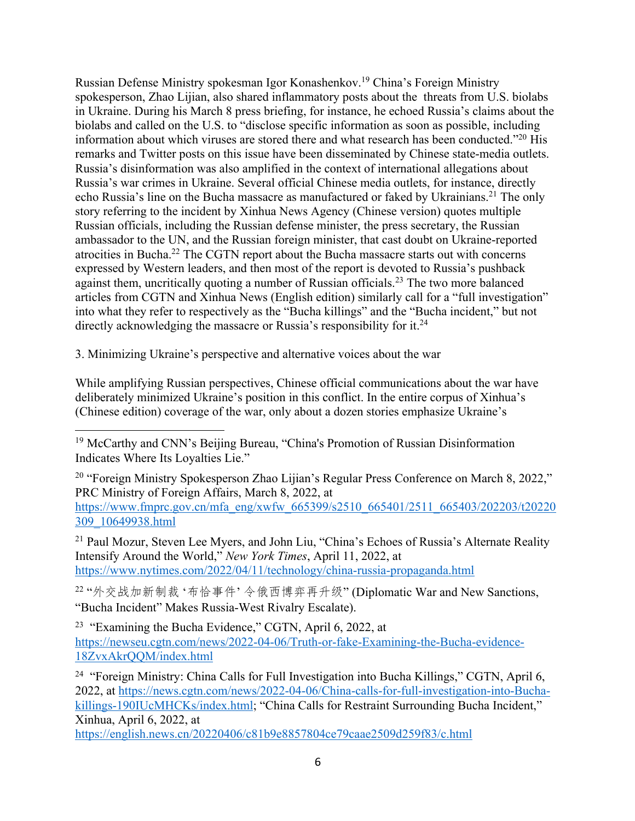Russian Defense Ministry spokesman Igor Konashenkov.19 China's Foreign Ministry spokesperson, Zhao Lijian, also shared inflammatory posts about the threats from U.S. biolabs in Ukraine. During his March 8 press briefing, for instance, he echoed Russia's claims about the biolabs and called on the U.S. to "disclose specific information as soon as possible, including information about which viruses are stored there and what research has been conducted."20 His remarks and Twitter posts on this issue have been disseminated by Chinese state-media outlets. Russia's disinformation was also amplified in the context of international allegations about Russia's war crimes in Ukraine. Several official Chinese media outlets, for instance, directly echo Russia's line on the Bucha massacre as manufactured or faked by Ukrainians.<sup>21</sup> The only story referring to the incident by Xinhua News Agency (Chinese version) quotes multiple Russian officials, including the Russian defense minister, the press secretary, the Russian ambassador to the UN, and the Russian foreign minister, that cast doubt on Ukraine-reported atrocities in Bucha.22 The CGTN report about the Bucha massacre starts out with concerns expressed by Western leaders, and then most of the report is devoted to Russia's pushback against them, uncritically quoting a number of Russian officials.23 The two more balanced articles from CGTN and Xinhua News (English edition) similarly call for a "full investigation" into what they refer to respectively as the "Bucha killings" and the "Bucha incident," but not directly acknowledging the massacre or Russia's responsibility for it.<sup>24</sup>

3. Minimizing Ukraine's perspective and alternative voices about the war

While amplifying Russian perspectives, Chinese official communications about the war have deliberately minimized Ukraine's position in this conflict. In the entire corpus of Xinhua's (Chinese edition) coverage of the war, only about a dozen stories emphasize Ukraine's

<sup>20</sup> "Foreign Ministry Spokesperson Zhao Lijian's Regular Press Conference on March 8, 2022," PRC Ministry of Foreign Affairs, March 8, 2022, at https://www.fmprc.gov.cn/mfa\_eng/xwfw\_665399/s2510\_665401/2511\_665403/202203/t20220 309\_10649938.html

<sup>21</sup> Paul Mozur, Steven Lee Myers, and John Liu, "China's Echoes of Russia's Alternate Reality Intensify Around the World," *New York Times*, April 11, 2022, at https://www.nytimes.com/2022/04/11/technology/china-russia-propaganda.html

22 "外交战加新制裁'布恰事件'令俄西博弈再升级"(Diplomatic War and New Sanctions, "Bucha Incident" Makes Russia-West Rivalry Escalate).

<sup>23</sup> "Examining the Bucha Evidence," CGTN, April 6, 2022, at https://newseu.cgtn.com/news/2022-04-06/Truth-or-fake-Examining-the-Bucha-evidence-18ZvxAkrQQM/index.html

<sup>24</sup> "Foreign Ministry: China Calls for Full Investigation into Bucha Killings," CGTN, April 6, 2022, at https://news.cgtn.com/news/2022-04-06/China-calls-for-full-investigation-into-Buchakillings-190IUcMHCKs/index.html; "China Calls for Restraint Surrounding Bucha Incident," Xinhua, April 6, 2022, at

https://english.news.cn/20220406/c81b9e8857804ce79caae2509d259f83/c.html

<sup>19</sup> McCarthy and CNN's Beijing Bureau, "China's Promotion of Russian Disinformation Indicates Where Its Loyalties Lie."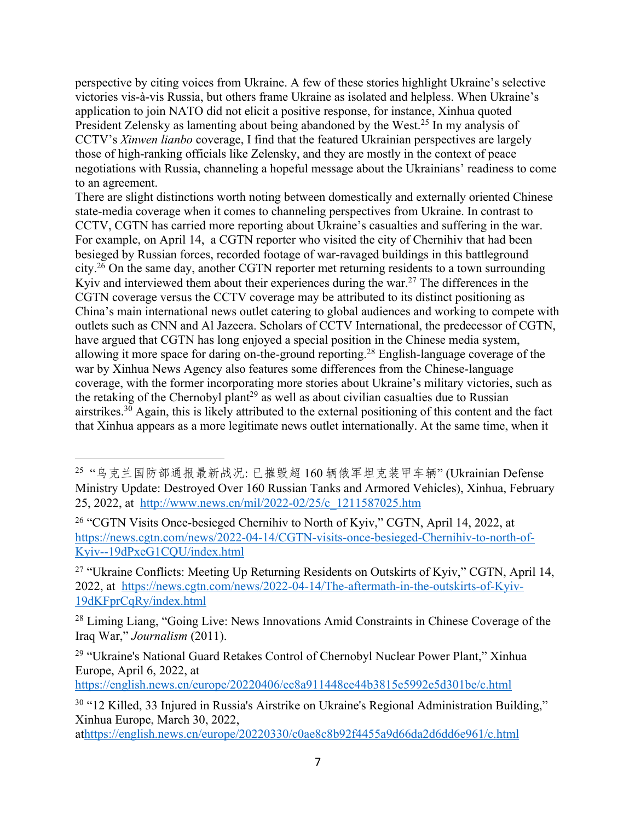perspective by citing voices from Ukraine. A few of these stories highlight Ukraine's selective victories vis-à-vis Russia, but others frame Ukraine as isolated and helpless. When Ukraine's application to join NATO did not elicit a positive response, for instance, Xinhua quoted President Zelensky as lamenting about being abandoned by the West.<sup>25</sup> In my analysis of CCTV's *Xinwen lianbo* coverage, I find that the featured Ukrainian perspectives are largely those of high-ranking officials like Zelensky, and they are mostly in the context of peace negotiations with Russia, channeling a hopeful message about the Ukrainians' readiness to come to an agreement.

There are slight distinctions worth noting between domestically and externally oriented Chinese state-media coverage when it comes to channeling perspectives from Ukraine. In contrast to CCTV, CGTN has carried more reporting about Ukraine's casualties and suffering in the war. For example, on April 14, a CGTN reporter who visited the city of Chernihiv that had been besieged by Russian forces, recorded footage of war-ravaged buildings in this battleground city.26 On the same day, another CGTN reporter met returning residents to a town surrounding Kyiv and interviewed them about their experiences during the war.<sup>27</sup> The differences in the CGTN coverage versus the CCTV coverage may be attributed to its distinct positioning as China's main international news outlet catering to global audiences and working to compete with outlets such as CNN and Al Jazeera. Scholars of CCTV International, the predecessor of CGTN, have argued that CGTN has long enjoyed a special position in the Chinese media system, allowing it more space for daring on-the-ground reporting.28 English-language coverage of the war by Xinhua News Agency also features some differences from the Chinese-language coverage, with the former incorporating more stories about Ukraine's military victories, such as the retaking of the Chernobyl plant<sup>29</sup> as well as about civilian casualties due to Russian airstrikes.30 Again, this is likely attributed to the external positioning of this content and the fact that Xinhua appears as a more legitimate news outlet internationally. At the same time, when it

https://english.news.cn/europe/20220406/ec8a911448ce44b3815e5992e5d301be/c.html

<sup>25 &</sup>quot;乌克兰国防部通报最新战况: 已摧毁超 160 辆俄军坦克装甲车辆"(Ukrainian Defense Ministry Update: Destroyed Over 160 Russian Tanks and Armored Vehicles), Xinhua, February 25, 2022, at http://www.news.cn/mil/2022-02/25/c\_1211587025.htm

<sup>&</sup>lt;sup>26</sup> "CGTN Visits Once-besieged Chernihiv to North of Kyiv," CGTN, April 14, 2022, at https://news.cgtn.com/news/2022-04-14/CGTN-visits-once-besieged-Chernihiv-to-north-of-Kyiv--19dPxeG1CQU/index.html

<sup>&</sup>lt;sup>27</sup> "Ukraine Conflicts: Meeting Up Returning Residents on Outskirts of Kyiv," CGTN, April 14, 2022, at https://news.cgtn.com/news/2022-04-14/The-aftermath-in-the-outskirts-of-Kyiv-19dKFprCqRy/index.html

<sup>&</sup>lt;sup>28</sup> Liming Liang, "Going Live: News Innovations Amid Constraints in Chinese Coverage of the Iraq War," *Journalism* (2011).

<sup>&</sup>lt;sup>29</sup> "Ukraine's National Guard Retakes Control of Chernobyl Nuclear Power Plant," Xinhua Europe, April 6, 2022, at

<sup>30</sup> "12 Killed, 33 Injured in Russia's Airstrike on Ukraine's Regional Administration Building," Xinhua Europe, March 30, 2022,

athttps://english.news.cn/europe/20220330/c0ae8c8b92f4455a9d66da2d6dd6e961/c.html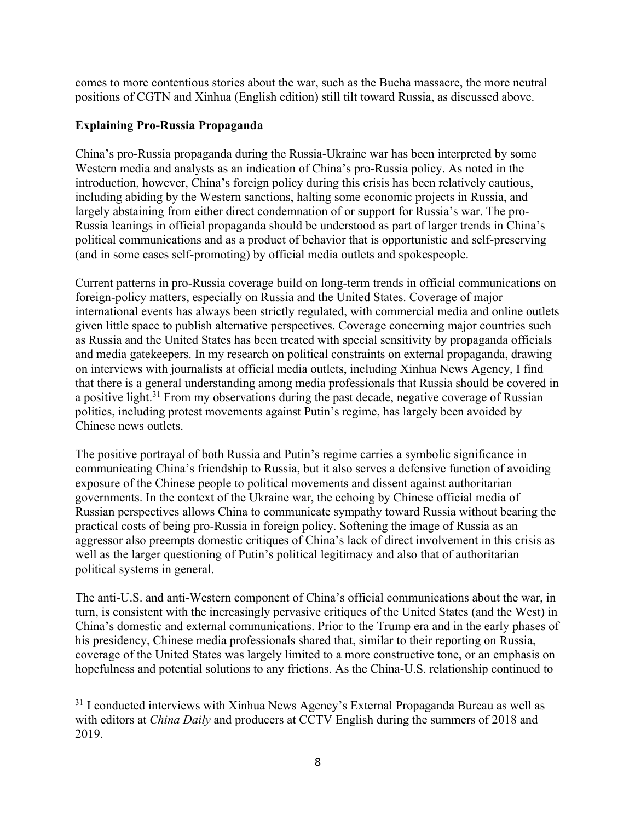comes to more contentious stories about the war, such as the Bucha massacre, the more neutral positions of CGTN and Xinhua (English edition) still tilt toward Russia, as discussed above.

#### **Explaining Pro-Russia Propaganda**

China's pro-Russia propaganda during the Russia-Ukraine war has been interpreted by some Western media and analysts as an indication of China's pro-Russia policy. As noted in the introduction, however, China's foreign policy during this crisis has been relatively cautious, including abiding by the Western sanctions, halting some economic projects in Russia, and largely abstaining from either direct condemnation of or support for Russia's war. The pro-Russia leanings in official propaganda should be understood as part of larger trends in China's political communications and as a product of behavior that is opportunistic and self-preserving (and in some cases self-promoting) by official media outlets and spokespeople.

Current patterns in pro-Russia coverage build on long-term trends in official communications on foreign-policy matters, especially on Russia and the United States. Coverage of major international events has always been strictly regulated, with commercial media and online outlets given little space to publish alternative perspectives. Coverage concerning major countries such as Russia and the United States has been treated with special sensitivity by propaganda officials and media gatekeepers. In my research on political constraints on external propaganda, drawing on interviews with journalists at official media outlets, including Xinhua News Agency, I find that there is a general understanding among media professionals that Russia should be covered in a positive light.<sup>31</sup> From my observations during the past decade, negative coverage of Russian politics, including protest movements against Putin's regime, has largely been avoided by Chinese news outlets.

The positive portrayal of both Russia and Putin's regime carries a symbolic significance in communicating China's friendship to Russia, but it also serves a defensive function of avoiding exposure of the Chinese people to political movements and dissent against authoritarian governments. In the context of the Ukraine war, the echoing by Chinese official media of Russian perspectives allows China to communicate sympathy toward Russia without bearing the practical costs of being pro-Russia in foreign policy. Softening the image of Russia as an aggressor also preempts domestic critiques of China's lack of direct involvement in this crisis as well as the larger questioning of Putin's political legitimacy and also that of authoritarian political systems in general.

The anti-U.S. and anti-Western component of China's official communications about the war, in turn, is consistent with the increasingly pervasive critiques of the United States (and the West) in China's domestic and external communications. Prior to the Trump era and in the early phases of his presidency, Chinese media professionals shared that, similar to their reporting on Russia, coverage of the United States was largely limited to a more constructive tone, or an emphasis on hopefulness and potential solutions to any frictions. As the China-U.S. relationship continued to

<sup>&</sup>lt;sup>31</sup> I conducted interviews with Xinhua News Agency's External Propaganda Bureau as well as with editors at *China Daily* and producers at CCTV English during the summers of 2018 and 2019.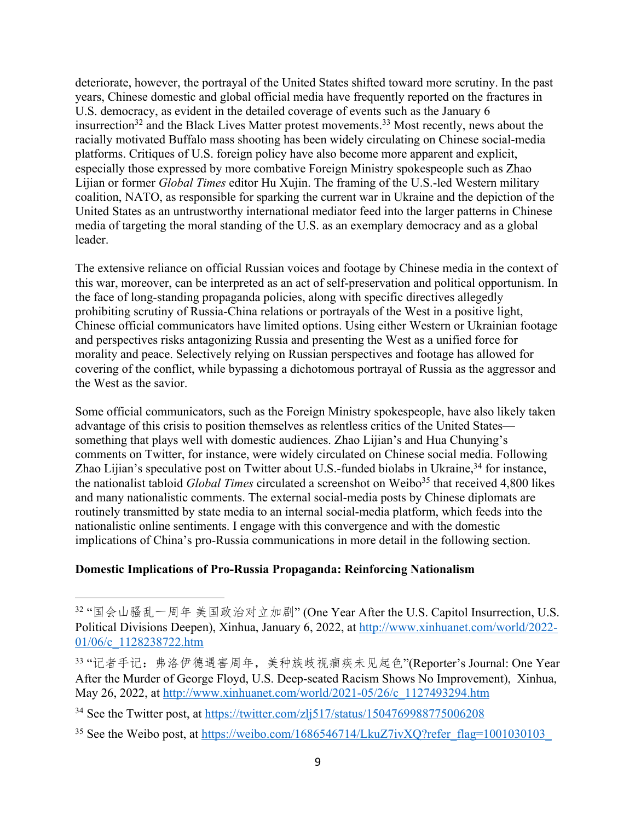deteriorate, however, the portrayal of the United States shifted toward more scrutiny. In the past years, Chinese domestic and global official media have frequently reported on the fractures in U.S. democracy, as evident in the detailed coverage of events such as the January 6 insurrection<sup>32</sup> and the Black Lives Matter protest movements.<sup>33</sup> Most recently, news about the racially motivated Buffalo mass shooting has been widely circulating on Chinese social-media platforms. Critiques of U.S. foreign policy have also become more apparent and explicit, especially those expressed by more combative Foreign Ministry spokespeople such as Zhao Lijian or former *Global Times* editor Hu Xujin. The framing of the U.S.-led Western military coalition, NATO, as responsible for sparking the current war in Ukraine and the depiction of the United States as an untrustworthy international mediator feed into the larger patterns in Chinese media of targeting the moral standing of the U.S. as an exemplary democracy and as a global leader.

The extensive reliance on official Russian voices and footage by Chinese media in the context of this war, moreover, can be interpreted as an act of self-preservation and political opportunism. In the face of long-standing propaganda policies, along with specific directives allegedly prohibiting scrutiny of Russia-China relations or portrayals of the West in a positive light, Chinese official communicators have limited options. Using either Western or Ukrainian footage and perspectives risks antagonizing Russia and presenting the West as a unified force for morality and peace. Selectively relying on Russian perspectives and footage has allowed for covering of the conflict, while bypassing a dichotomous portrayal of Russia as the aggressor and the West as the savior.

Some official communicators, such as the Foreign Ministry spokespeople, have also likely taken advantage of this crisis to position themselves as relentless critics of the United States something that plays well with domestic audiences. Zhao Lijian's and Hua Chunying's comments on Twitter, for instance, were widely circulated on Chinese social media. Following Zhao Lijian's speculative post on Twitter about U.S.-funded biolabs in Ukraine,<sup>34</sup> for instance, the nationalist tabloid *Global Times* circulated a screenshot on Weibo<sup>35</sup> that received 4,800 likes and many nationalistic comments. The external social-media posts by Chinese diplomats are routinely transmitted by state media to an internal social-media platform, which feeds into the nationalistic online sentiments. I engage with this convergence and with the domestic implications of China's pro-Russia communications in more detail in the following section.

#### **Domestic Implications of Pro-Russia Propaganda: Reinforcing Nationalism**

<sup>32 &</sup>quot;国会山骚乱一周年 美国政治对立加剧" (One Year After the U.S. Capitol Insurrection, U.S. Political Divisions Deepen), Xinhua, January 6, 2022, at http://www.xinhuanet.com/world/2022- 01/06/c\_1128238722.htm

<sup>33 &</sup>quot;记者手记: 弗洛伊德遇害周年, 美种族歧视痼疾未见起色"(Reporter's Journal: One Year After the Murder of George Floyd, U.S. Deep-seated Racism Shows No Improvement), Xinhua, May 26, 2022, at http://www.xinhuanet.com/world/2021-05/26/c\_1127493294.htm

<sup>34</sup> See the Twitter post, at https://twitter.com/zlj517/status/1504769988775006208

<sup>&</sup>lt;sup>35</sup> See the Weibo post, at https://weibo.com/1686546714/LkuZ7ivXQ?refer\_flag=1001030103\_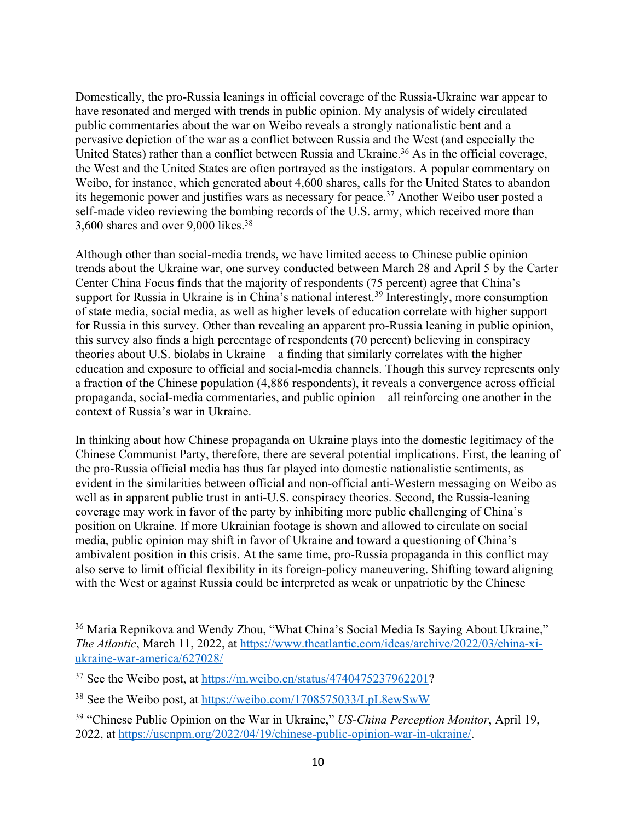Domestically, the pro-Russia leanings in official coverage of the Russia-Ukraine war appear to have resonated and merged with trends in public opinion. My analysis of widely circulated public commentaries about the war on Weibo reveals a strongly nationalistic bent and a pervasive depiction of the war as a conflict between Russia and the West (and especially the United States) rather than a conflict between Russia and Ukraine.<sup>36</sup> As in the official coverage, the West and the United States are often portrayed as the instigators. A popular commentary on Weibo, for instance, which generated about 4,600 shares, calls for the United States to abandon its hegemonic power and justifies wars as necessary for peace.<sup>37</sup> Another Weibo user posted a self-made video reviewing the bombing records of the U.S. army, which received more than 3,600 shares and over 9,000 likes.38

Although other than social-media trends, we have limited access to Chinese public opinion trends about the Ukraine war, one survey conducted between March 28 and April 5 by the Carter Center China Focus finds that the majority of respondents (75 percent) agree that China's support for Russia in Ukraine is in China's national interest.<sup>39</sup> Interestingly, more consumption of state media, social media, as well as higher levels of education correlate with higher support for Russia in this survey. Other than revealing an apparent pro-Russia leaning in public opinion, this survey also finds a high percentage of respondents (70 percent) believing in conspiracy theories about U.S. biolabs in Ukraine—a finding that similarly correlates with the higher education and exposure to official and social-media channels. Though this survey represents only a fraction of the Chinese population (4,886 respondents), it reveals a convergence across official propaganda, social-media commentaries, and public opinion—all reinforcing one another in the context of Russia's war in Ukraine.

In thinking about how Chinese propaganda on Ukraine plays into the domestic legitimacy of the Chinese Communist Party, therefore, there are several potential implications. First, the leaning of the pro-Russia official media has thus far played into domestic nationalistic sentiments, as evident in the similarities between official and non-official anti-Western messaging on Weibo as well as in apparent public trust in anti-U.S. conspiracy theories. Second, the Russia-leaning coverage may work in favor of the party by inhibiting more public challenging of China's position on Ukraine. If more Ukrainian footage is shown and allowed to circulate on social media, public opinion may shift in favor of Ukraine and toward a questioning of China's ambivalent position in this crisis. At the same time, pro-Russia propaganda in this conflict may also serve to limit official flexibility in its foreign-policy maneuvering. Shifting toward aligning with the West or against Russia could be interpreted as weak or unpatriotic by the Chinese

<sup>&</sup>lt;sup>36</sup> Maria Repnikova and Wendy Zhou, "What China's Social Media Is Saying About Ukraine," *The Atlantic*, March 11, 2022, at https://www.theatlantic.com/ideas/archive/2022/03/china-xiukraine-war-america/627028/

<sup>&</sup>lt;sup>37</sup> See the Weibo post, at https://m.weibo.cn/status/4740475237962201?

<sup>38</sup> See the Weibo post, at https://weibo.com/1708575033/LpL8ewSwW

<sup>39</sup> "Chinese Public Opinion on the War in Ukraine," *US-China Perception Monitor*, April 19, 2022, at https://uscnpm.org/2022/04/19/chinese-public-opinion-war-in-ukraine/.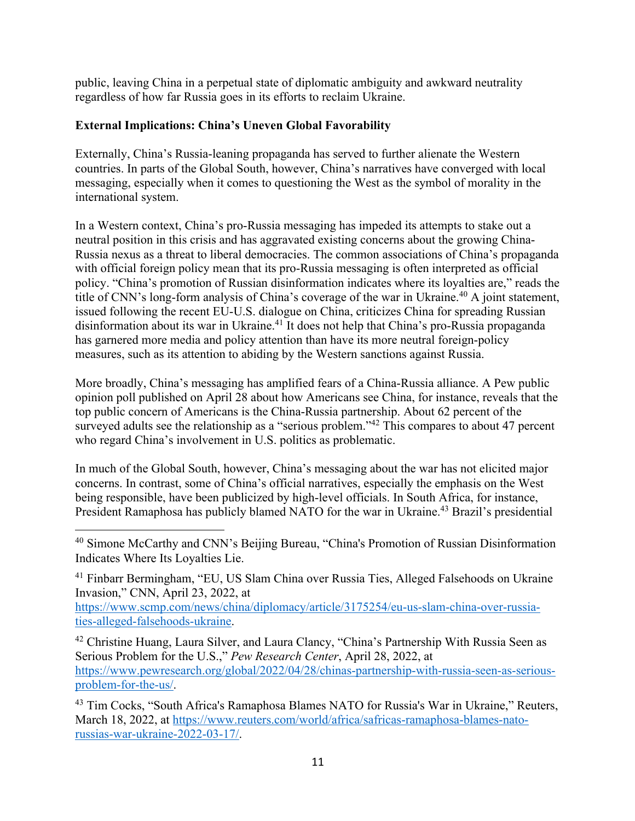public, leaving China in a perpetual state of diplomatic ambiguity and awkward neutrality regardless of how far Russia goes in its efforts to reclaim Ukraine.

## **External Implications: China's Uneven Global Favorability**

Externally, China's Russia-leaning propaganda has served to further alienate the Western countries. In parts of the Global South, however, China's narratives have converged with local messaging, especially when it comes to questioning the West as the symbol of morality in the international system.

In a Western context, China's pro-Russia messaging has impeded its attempts to stake out a neutral position in this crisis and has aggravated existing concerns about the growing China-Russia nexus as a threat to liberal democracies. The common associations of China's propaganda with official foreign policy mean that its pro-Russia messaging is often interpreted as official policy. "China's promotion of Russian disinformation indicates where its loyalties are," reads the title of CNN's long-form analysis of China's coverage of the war in Ukraine.<sup>40</sup> A joint statement, issued following the recent EU-U.S. dialogue on China, criticizes China for spreading Russian disinformation about its war in Ukraine.<sup>41</sup> It does not help that China's pro-Russia propaganda has garnered more media and policy attention than have its more neutral foreign-policy measures, such as its attention to abiding by the Western sanctions against Russia.

More broadly, China's messaging has amplified fears of a China-Russia alliance. A Pew public opinion poll published on April 28 about how Americans see China, for instance, reveals that the top public concern of Americans is the China-Russia partnership. About 62 percent of the surveyed adults see the relationship as a "serious problem."<sup>42</sup> This compares to about 47 percent who regard China's involvement in U.S. politics as problematic.

In much of the Global South, however, China's messaging about the war has not elicited major concerns. In contrast, some of China's official narratives, especially the emphasis on the West being responsible, have been publicized by high-level officials. In South Africa, for instance, President Ramaphosa has publicly blamed NATO for the war in Ukraine.<sup>43</sup> Brazil's presidential

<sup>41</sup> Finbarr Bermingham, "EU, US Slam China over Russia Ties, Alleged Falsehoods on Ukraine Invasion," CNN, April 23, 2022, at

https://www.scmp.com/news/china/diplomacy/article/3175254/eu-us-slam-china-over-russiaties-alleged-falsehoods-ukraine.

<sup>42</sup> Christine Huang, Laura Silver, and Laura Clancy, "China's Partnership With Russia Seen as Serious Problem for the U.S.," *Pew Research Center*, April 28, 2022, at https://www.pewresearch.org/global/2022/04/28/chinas-partnership-with-russia-seen-as-seriousproblem-for-the-us/.

<sup>43</sup> Tim Cocks, "South Africa's Ramaphosa Blames NATO for Russia's War in Ukraine," Reuters, March 18, 2022, at https://www.reuters.com/world/africa/safricas-ramaphosa-blames-natorussias-war-ukraine-2022-03-17/.

<sup>&</sup>lt;sup>40</sup> Simone McCarthy and CNN's Beijing Bureau, "China's Promotion of Russian Disinformation Indicates Where Its Loyalties Lie.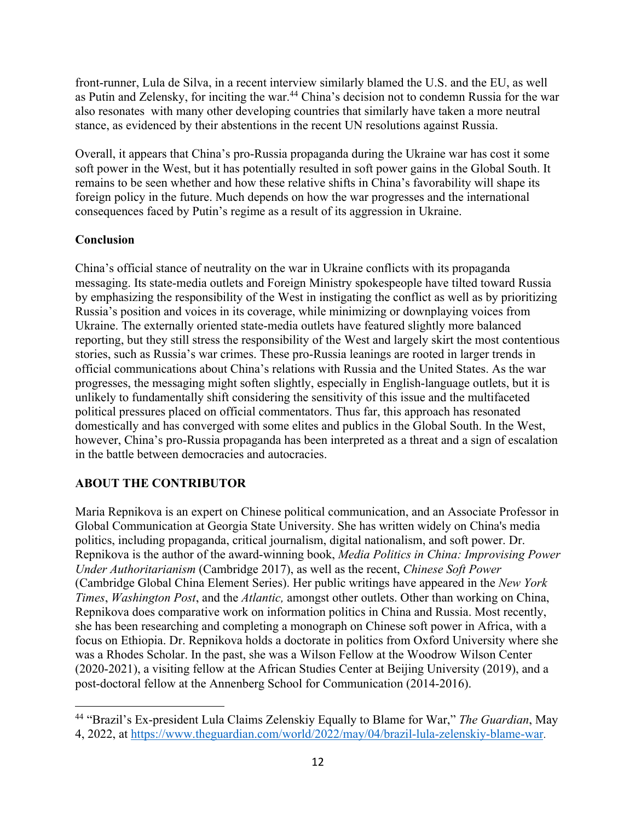front-runner, Lula de Silva, in a recent interview similarly blamed the U.S. and the EU, as well as Putin and Zelensky, for inciting the war.<sup>44</sup> China's decision not to condemn Russia for the war also resonates with many other developing countries that similarly have taken a more neutral stance, as evidenced by their abstentions in the recent UN resolutions against Russia.

Overall, it appears that China's pro-Russia propaganda during the Ukraine war has cost it some soft power in the West, but it has potentially resulted in soft power gains in the Global South. It remains to be seen whether and how these relative shifts in China's favorability will shape its foreign policy in the future. Much depends on how the war progresses and the international consequences faced by Putin's regime as a result of its aggression in Ukraine.

### **Conclusion**

China's official stance of neutrality on the war in Ukraine conflicts with its propaganda messaging. Its state-media outlets and Foreign Ministry spokespeople have tilted toward Russia by emphasizing the responsibility of the West in instigating the conflict as well as by prioritizing Russia's position and voices in its coverage, while minimizing or downplaying voices from Ukraine. The externally oriented state-media outlets have featured slightly more balanced reporting, but they still stress the responsibility of the West and largely skirt the most contentious stories, such as Russia's war crimes. These pro-Russia leanings are rooted in larger trends in official communications about China's relations with Russia and the United States. As the war progresses, the messaging might soften slightly, especially in English-language outlets, but it is unlikely to fundamentally shift considering the sensitivity of this issue and the multifaceted political pressures placed on official commentators. Thus far, this approach has resonated domestically and has converged with some elites and publics in the Global South. In the West, however, China's pro-Russia propaganda has been interpreted as a threat and a sign of escalation in the battle between democracies and autocracies.

## **ABOUT THE CONTRIBUTOR**

Maria Repnikova is an expert on Chinese political communication, and an Associate Professor in Global Communication at Georgia State University. She has written widely on China's media politics, including propaganda, critical journalism, digital nationalism, and soft power. Dr. Repnikova is the author of the award-winning book, *Media Politics in China: Improvising Power Under Authoritarianism* (Cambridge 2017), as well as the recent, *Chinese Soft Power*  (Cambridge Global China Element Series). Her public writings have appeared in the *New York Times*, *Washington Post*, and the *Atlantic,* amongst other outlets. Other than working on China, Repnikova does comparative work on information politics in China and Russia. Most recently, she has been researching and completing a monograph on Chinese soft power in Africa, with a focus on Ethiopia. Dr. Repnikova holds a doctorate in politics from Oxford University where she was a Rhodes Scholar. In the past, she was a Wilson Fellow at the Woodrow Wilson Center (2020-2021), a visiting fellow at the African Studies Center at Beijing University (2019), and a post-doctoral fellow at the Annenberg School for Communication (2014-2016).

<sup>44</sup> "Brazil's Ex-president Lula Claims Zelenskiy Equally to Blame for War," *The Guardian*, May 4, 2022, at https://www.theguardian.com/world/2022/may/04/brazil-lula-zelenskiy-blame-war.